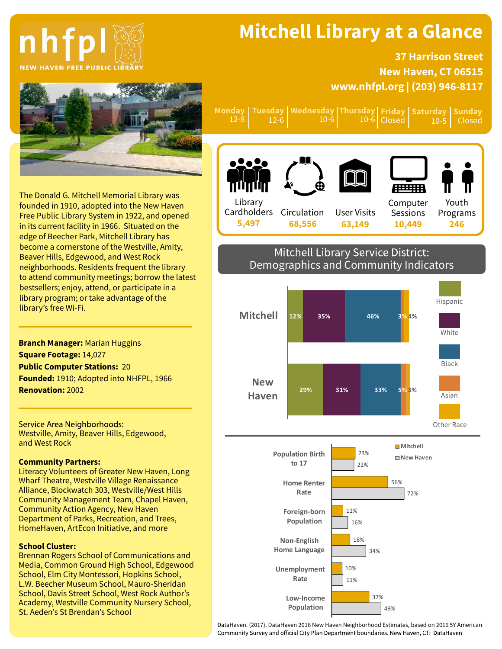# nhfp **NEW HAVEN FREE PUBLIC LIBRAR**

## Mitchell Library at a Glance

Tuesday Wednesday Thursday Friday Saturday Sunday

10-6

**Closed** 

### 37 Harrison Street New Haven, CT 06515 www.nhfpl.org | (203) 946-8117

10-5

Closed



**Monday** 12-8

12-6

The Donald G. Mitchell Memorial Library was founded in 1910, adopted into the New Haven Free Public Library System in 1922, and opened in its current facility in 1966. Situated on the edge of Beecher Park, Mitchell Library has become a cornerstone of the Westville, Amity, Beaver Hills, Edgewood, and West Rock neighborhoods. Residents frequent the library to attend community meetings; borrow the latest bestsellers; enjoy, attend, or participate in a library program; or take advantage of the library's free Wi-Fi.

Branch Manager: Marian Huggins Square Footage: 14,027 Public Computer Stations: 20 Founded: 1910; Adopted into NHFPL, 1966 Renovation: 2002

Service Area Neighborhoods: Westville, Amity, Beaver Hills, Edgewood, and West Rock

#### Community Partners:

Literacy Volunteers of Greater New Haven, Long Wharf Theatre, Westville Village Renaissance Alliance, Blockwatch 303, Westville/West Hills Community Management Team, Chapel Haven, Community Action Agency, New Haven Department of Parks, Recreation, and Trees, HomeHaven, ArtEcon Initiative, and more

#### School Cluster:

Brennan Rogers School of Communications and Media, Common Ground High School, Edgewood School, Elm City Montessori, Hopkins School, L.W. Beecher Museum School, Mauro-Sheridan School, Davis Street School, West Rock Author's Academy, Westville Community Nursery School, St. Aeden's St Brendan's School



10-6

### Mitchell Library Service District: Demographics and Community Indicators



DataHaven. (2017). DataHaven 2016 New Haven Neighborhood Estimates, based on 2016 5Y American Community Survey and official City Plan Department boundaries. New Haven, CT: DataHaven